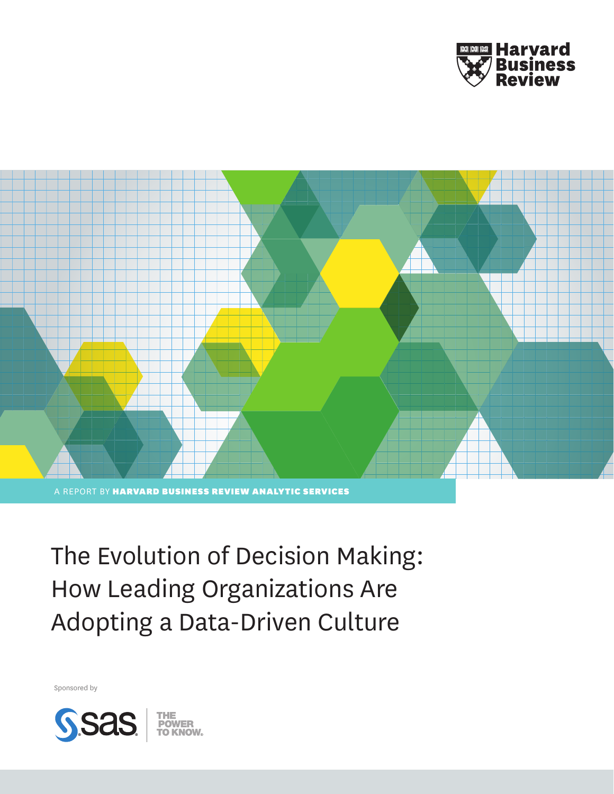



The Evolution of Decision Making: How Leading Organizations Are Adopting a Data-Driven Culture

Sponsored by

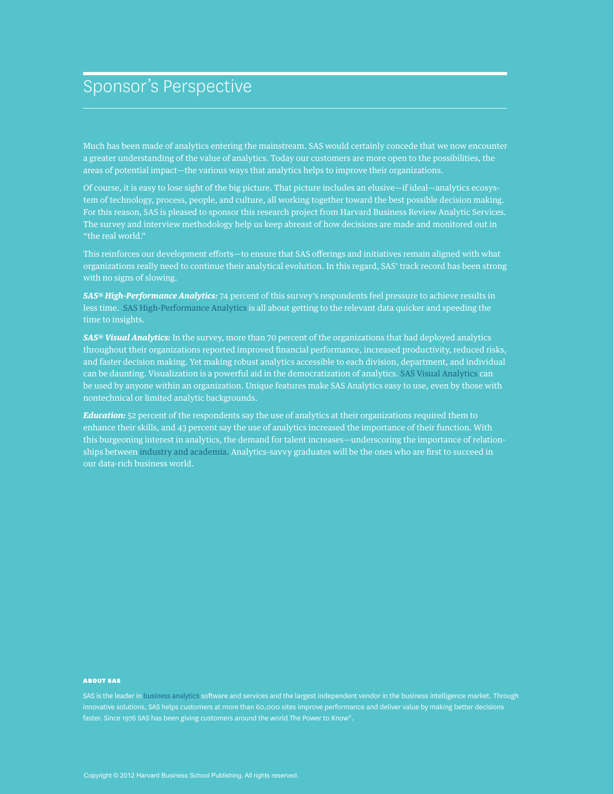# Sponsor's Perspective

Much has been made of analytics entering the mainstream. SAS would certainly concede that we now encounter a greater understanding of the value of analytics. Today our customers are more open to the possibilities, the areas of potential impact—the various ways that analytics helps to improve their organizations.

Of course, it is easy to lose sight of the big picture. That picture includes an elusive—if ideal—analytics ecosystem of technology, process, people, and culture, all working together toward the best possible decision making. For this reason, SAS is pleased to sponsor this research project from Harvard Business Review Analytic Services. The survey and interview methodology help us keep abreast of how decisions are made and monitored out in "the real world."

This reinforces our development efforts—to ensure that SAS offerings and initiatives remain aligned with what organizations really need to continue their analytical evolution. In this regard, SAS' track record has been strong with no signs of slowing.

*SAS® High-Performance Analytics:* 74 percent of this survey's respondents feel pressure to achieve results in less time[. SAS High-Performance Analytics](http://www.sas.com/high-performance-analytics/) is all about getting to the relevant data quicker and speeding the time to insights.

*SAS® Visual Analytics:* In the survey, more than 70 percent of the organizations that had deployed analytics throughout their organizations reported improved financial performance, increased productivity, reduced risks, and faster decision making. Yet making robust analytics accessible to each division, department, and individual can be daunting. Visualization is a powerful aid in the democratization of analytics[. SAS Visual Analytics](http://www.sas.com/technologies/bi/visual-analytics.html) can be used by anyone within an organization. Unique features make SAS Analytics easy to use, even by those with nontechnical or limited analytic backgrounds.

*Education:* 52 percent of the respondents say the use of analytics at their organizations required them to enhance their skills, and 43 percent say the use of analytics increased the importance of their function. With this burgeoning interest in analytics, the demand for talent increases—underscoring the importance of relationships betwee[n industry and academia.](http://www.sas.com/news/preleases/lsumasters.html) Analytics-savvy graduates will be the ones who are first to succeed in our data-rich business world.

#### ABOUT SAS

SAS is the leader in [business analytics](http://www.sas.com/businessanalytics/) software and services and the largest independent vendor in the business intelligence market. Through innovative solutions, SAS helps customers at more than 60,000 sites improve performance and deliver value by making better decisions faster. Since 1976 SAS has been giving customers around the world The Power to Know®.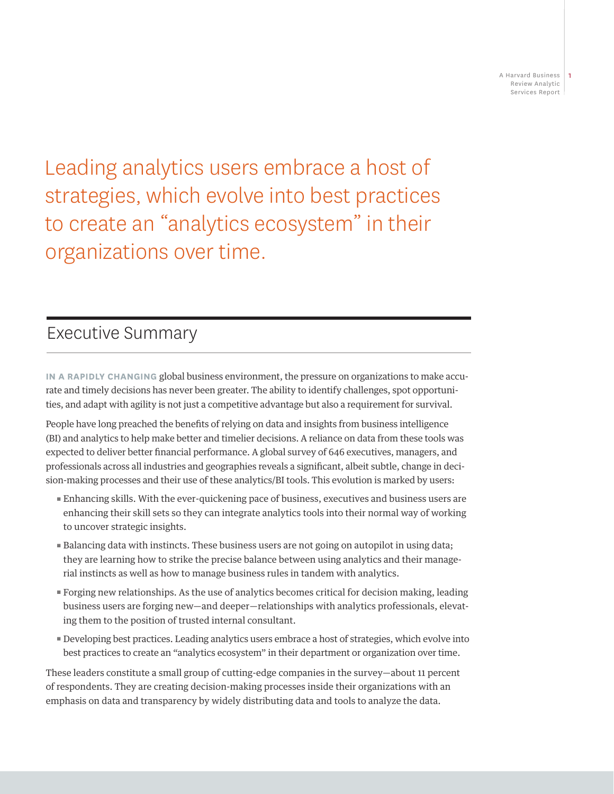Leading analytics users embrace a host of strategies, which evolve into best practices to create an "analytics ecosystem" in their organizations over time.

# Executive Summary

**IN A RAPIDLY CHANGING** global business environment, the pressure on organizations to make accurate and timely decisions has never been greater. The ability to identify challenges, spot opportunities, and adapt with agility is not just a competitive advantage but also a requirement for survival.

People have long preached the benefits of relying on data and insights from business intelligence (BI) and analytics to help make better and timelier decisions. A reliance on data from these tools was expected to deliver better financial performance. A global survey of 646 executives, managers, and professionals across all industries and geographies reveals a significant, albeit subtle, change in decision-making processes and their use of these analytics/BI tools. This evolution is marked by users:

- π Enhancing skills. With the ever-quickening pace of business, executives and business users are enhancing their skill sets so they can integrate analytics tools into their normal way of working to uncover strategic insights.
- **Example 1** Balancing data with instincts. These business users are not going on autopilot in using data; they are learning how to strike the precise balance between using analytics and their managerial instincts as well as how to manage business rules in tandem with analytics.
- π Forging new relationships. As the use of analytics becomes critical for decision making, leading business users are forging new—and deeper—relationships with analytics professionals, elevating them to the position of trusted internal consultant.
- **P** Developing best practices. Leading analytics users embrace a host of strategies, which evolve into best practices to create an "analytics ecosystem" in their department or organization over time.

These leaders constitute a small group of cutting-edge companies in the survey—about 11 percent of respondents. They are creating decision-making processes inside their organizations with an emphasis on data and transparency by widely distributing data and tools to analyze the data.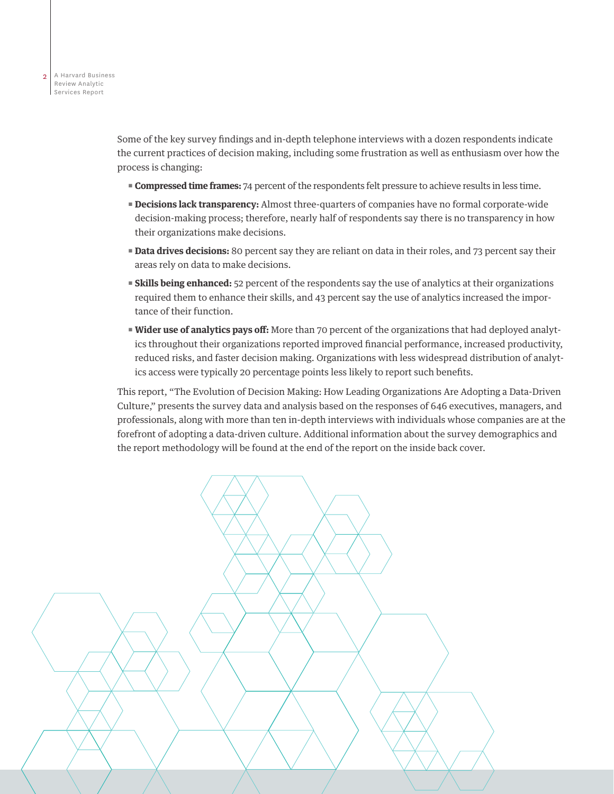Some of the key survey findings and in-depth telephone interviews with a dozen respondents indicate the current practices of decision making, including some frustration as well as enthusiasm over how the process is changing:

- **Compressed time frames:** 74 percent of the respondents felt pressure to achieve results in less time.
- **Pecisions lack transparency:** Almost three-quarters of companies have no formal corporate-wide decision-making process; therefore, nearly half of respondents say there is no transparency in how their organizations make decisions.
- **Data drives decisions:** 80 percent say they are reliant on data in their roles, and 73 percent say their areas rely on data to make decisions.
- **Exaills being enhanced:** 52 percent of the respondents say the use of analytics at their organizations required them to enhance their skills, and 43 percent say the use of analytics increased the importance of their function.
- **Wider use of analytics pays off:** More than 70 percent of the organizations that had deployed analytics throughout their organizations reported improved financial performance, increased productivity, reduced risks, and faster decision making. Organizations with less widespread distribution of analytics access were typically 20 percentage points less likely to report such benefits.

This report, "The Evolution of Decision Making: How Leading Organizations Are Adopting a Data-Driven Culture," presents the survey data and analysis based on the responses of 646 executives, managers, and professionals, along with more than ten in-depth interviews with individuals whose companies are at the forefront of adopting a data-driven culture. Additional information about the survey demographics and the report methodology will be found at the end of the report on the inside back cover.

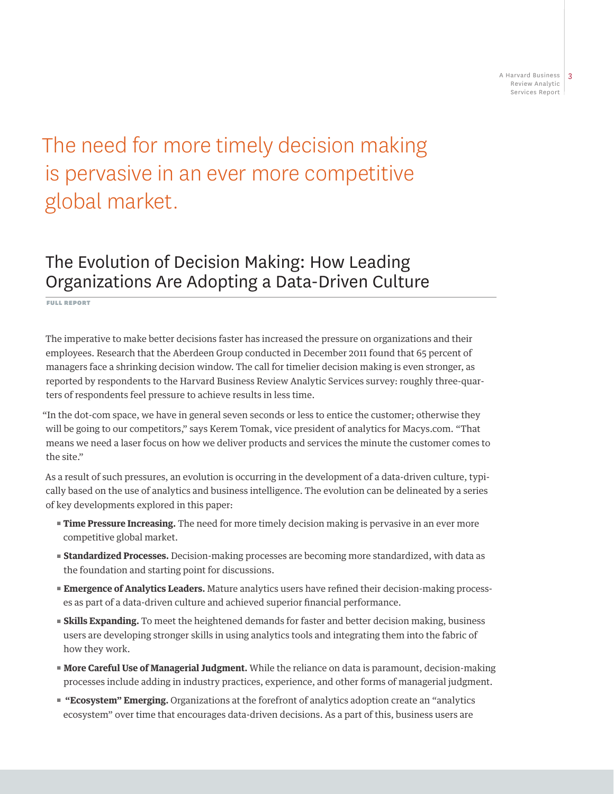# The need for more timely decision making is pervasive in an ever more competitive global market.

# The Evolution of Decision Making: How Leading Organizations Are Adopting a Data-Driven Culture

FULL REPORT

The imperative to make better decisions faster has increased the pressure on organizations and their employees. Research that the Aberdeen Group conducted in December 2011 found that 65 percent of managers face a shrinking decision window. The call for timelier decision making is even stronger, as reported by respondents to the Harvard Business Review Analytic Services survey: roughly three-quarters of respondents feel pressure to achieve results in less time.

"In the dot-com space, we have in general seven seconds or less to entice the customer; otherwise they will be going to our competitors," says Kerem Tomak, vice president of analytics for Macys.com. "That means we need a laser focus on how we deliver products and services the minute the customer comes to the site."

As a result of such pressures, an evolution is occurring in the development of a data-driven culture, typically based on the use of analytics and business intelligence. The evolution can be delineated by a series of key developments explored in this paper:

- **Time Pressure Increasing.** The need for more timely decision making is pervasive in an ever more competitive global market.
- **Exandardized Processes.** Decision-making processes are becoming more standardized, with data as the foundation and starting point for discussions.
- **Emergence of Analytics Leaders.** Mature analytics users have refined their decision-making processes as part of a data-driven culture and achieved superior financial performance.
- **EXILIS Expanding.** To meet the heightened demands for faster and better decision making, business users are developing stronger skills in using analytics tools and integrating them into the fabric of how they work.
- **Kore Careful Use of Managerial Judgment.** While the reliance on data is paramount, decision-making processes include adding in industry practices, experience, and other forms of managerial judgment.
- **"** "Ecosystem" Emerging. Organizations at the forefront of analytics adoption create an "analytics ecosystem" over time that encourages data-driven decisions. As a part of this, business users are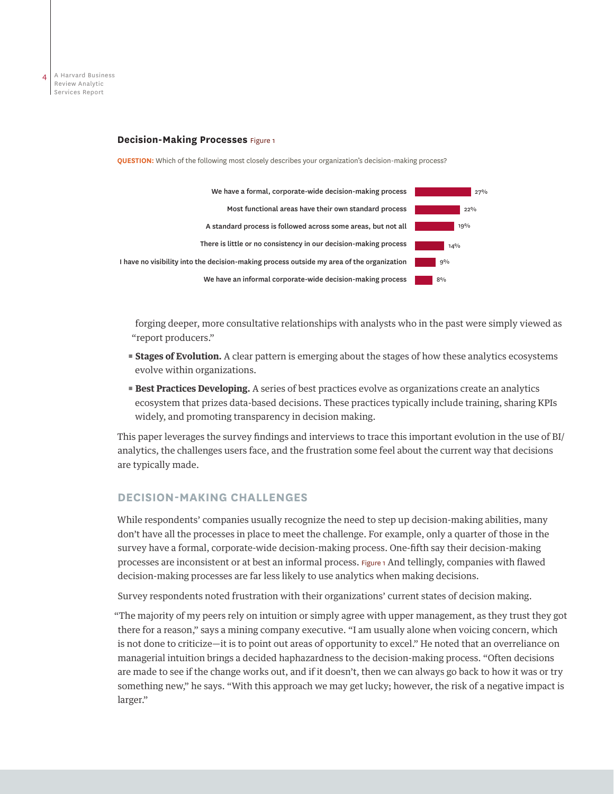

#### **Decision-Making Processes** Figure 1

**QUESTION:** Which of the following most closely describes your organization's decision-making process?



forging deeper, more consultative relationships with analysts who in the past were simply viewed as "report producers."

- **Exages of Evolution.** A clear pattern is emerging about the stages of how these analytics ecosystems evolve within organizations.
- **Best Practices Developing.** A series of best practices evolve as organizations create an analytics ecosystem that prizes data-based decisions. These practices typically include training, sharing KPIs widely, and promoting transparency in decision making.

This paper leverages the survey findings and interviews to trace this important evolution in the use of BI/ analytics, the challenges users face, and the frustration some feel about the current way that decisions are typically made.

# **DECISION-MAKING CHALLENGES**

While respondents' companies usually recognize the need to step up decision-making abilities, many don't have all the processes in place to meet the challenge. For example, only a quarter of those in the survey have a formal, corporate-wide decision-making process. One-fifth say their decision-making processes are inconsistent or at best an informal process. Figure 1 And tellingly, companies with flawed decision-making processes are far less likely to use analytics when making decisions.

Survey respondents noted frustration with their organizations' current states of decision making.

"The majority of my peers rely on intuition or simply agree with upper management, as they trust they got there for a reason," says a mining company executive. "I am usually alone when voicing concern, which is not done to criticize—it is to point out areas of opportunity to excel." He noted that an overreliance on managerial intuition brings a decided haphazardness to the decision-making process. "Often decisions are made to see if the change works out, and if it doesn't, then we can always go back to how it was or try something new," he says. "With this approach we may get lucky; however, the risk of a negative impact is larger."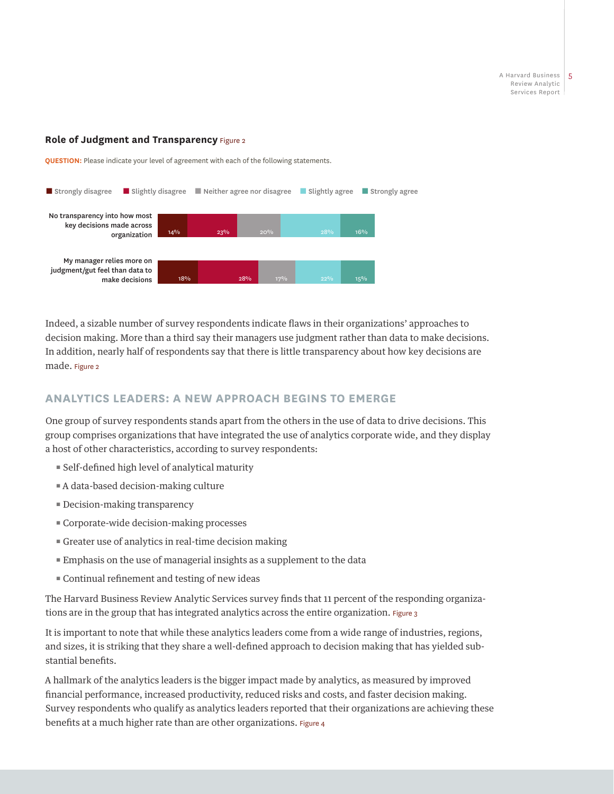#### **Role of Judgment and Transparency Figure 2**

**QUESTION:** Please indicate your level of agreement with each of the following statements.



Indeed, a sizable number of survey respondents indicate flaws in their organizations' approaches to decision making. More than a third say their managers use judgment rather than data to make decisions. In addition, nearly half of respondents say that there is little transparency about how key decisions are made. Figure 2

# **ANALYTICS LEADERS: A NEW APPROACH BEGINS TO EMERGE**

One group of survey respondents stands apart from the others in the use of data to drive decisions. This group comprises organizations that have integrated the use of analytics corporate wide, and they display a host of other characteristics, according to survey respondents:

- Self-defined high level of analytical maturity
- A data-based decision-making culture
- Decision-making transparency
- Corporate-wide decision-making processes
- Greater use of analytics in real-time decision making
- Emphasis on the use of managerial insights as a supplement to the data
- Continual refinement and testing of new ideas

The Harvard Business Review Analytic Services survey finds that 11 percent of the responding organizations are in the group that has integrated analytics across the entire organization. Figure 3

It is important to note that while these analytics leaders come from a wide range of industries, regions, and sizes, it is striking that they share a well-defined approach to decision making that has yielded substantial benefits.

A hallmark of the analytics leaders is the bigger impact made by analytics, as measured by improved financial performance, increased productivity, reduced risks and costs, and faster decision making. Survey respondents who qualify as analytics leaders reported that their organizations are achieving these benefits at a much higher rate than are other organizations. Figure 4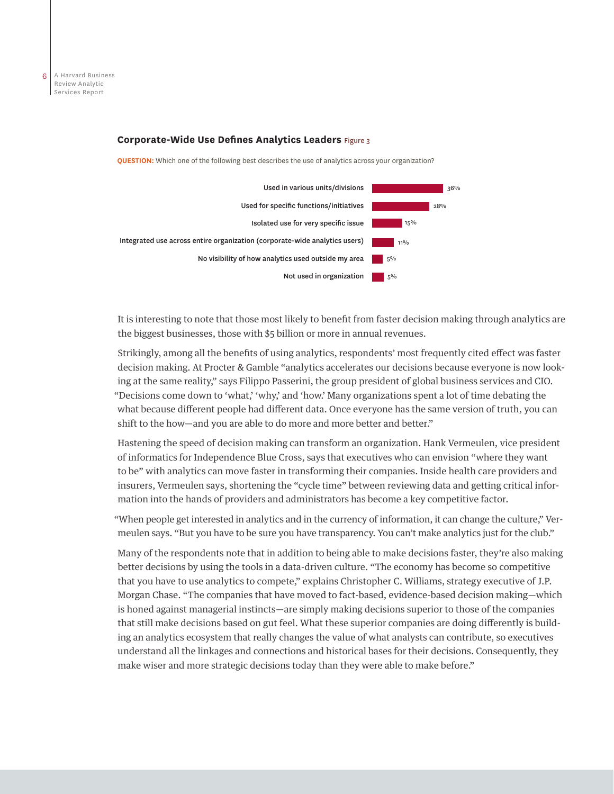#### **Corporate-Wide Use Defines Analytics Leaders** Figure 3

**QUESTION:** Which one of the following best describes the use of analytics across your organization?



It is interesting to note that those most likely to benefit from faster decision making through analytics are the biggest businesses, those with \$5 billion or more in annual revenues.

Strikingly, among all the benefits of using analytics, respondents' most frequently cited effect was faster decision making. At Procter & Gamble "analytics accelerates our decisions because everyone is now looking at the same reality," says Filippo Passerini, the group president of global business services and CIO. "Decisions come down to 'what,' 'why,' and 'how.' Many organizations spent a lot of time debating the what because different people had different data. Once everyone has the same version of truth, you can shift to the how—and you are able to do more and more better and better."

Hastening the speed of decision making can transform an organization. Hank Vermeulen, vice president of informatics for Independence Blue Cross, says that executives who can envision "where they want to be" with analytics can move faster in transforming their companies. Inside health care providers and insurers, Vermeulen says, shortening the "cycle time" between reviewing data and getting critical information into the hands of providers and administrators has become a key competitive factor.

"When people get interested in analytics and in the currency of information, it can change the culture," Vermeulen says. "But you have to be sure you have transparency. You can't make analytics just for the club."

Many of the respondents note that in addition to being able to make decisions faster, they're also making better decisions by using the tools in a data-driven culture. "The economy has become so competitive that you have to use analytics to compete," explains Christopher C. Williams, strategy executive of J.P. Morgan Chase. "The companies that have moved to fact-based, evidence-based decision making—which is honed against managerial instincts—are simply making decisions superior to those of the companies that still make decisions based on gut feel. What these superior companies are doing differently is building an analytics ecosystem that really changes the value of what analysts can contribute, so executives understand all the linkages and connections and historical bases for their decisions. Consequently, they make wiser and more strategic decisions today than they were able to make before."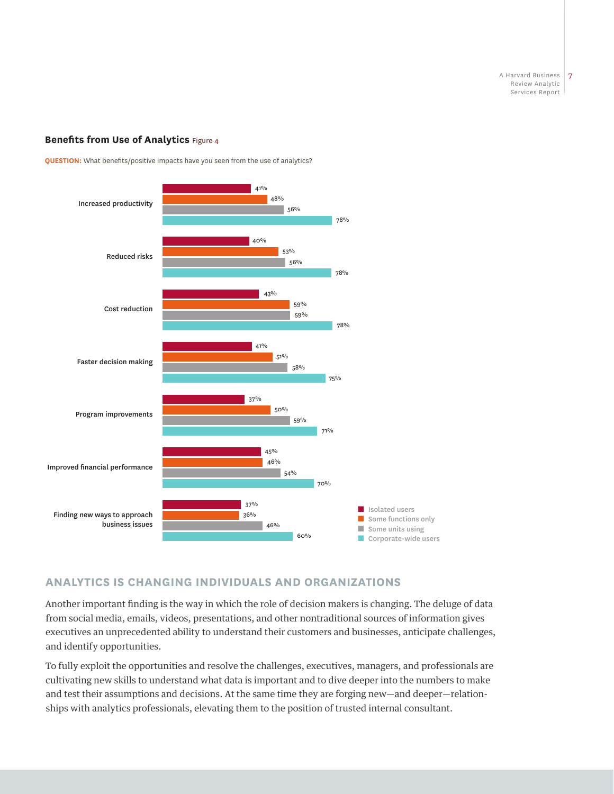## **Benefits from Use of Analytics Figure 4**



**QUESTION:** What benefits/positive impacts have you seen from the use of analytics?

# **ANALYTICS IS CHANGING INDIVIDUALS AND ORGANIZATIONS**

Another important finding is the way in which the role of decision makers is changing. The deluge of data from social media, emails, videos, presentations, and other nontraditional sources of information gives executives an unprecedented ability to understand their customers and businesses, anticipate challenges, and identify opportunities.

To fully exploit the opportunities and resolve the challenges, executives, managers, and professionals are cultivating new skills to understand what data is important and to dive deeper into the numbers to make and test their assumptions and decisions. At the same time they are forging new—and deeper—relationships with analytics professionals, elevating them to the position of trusted internal consultant.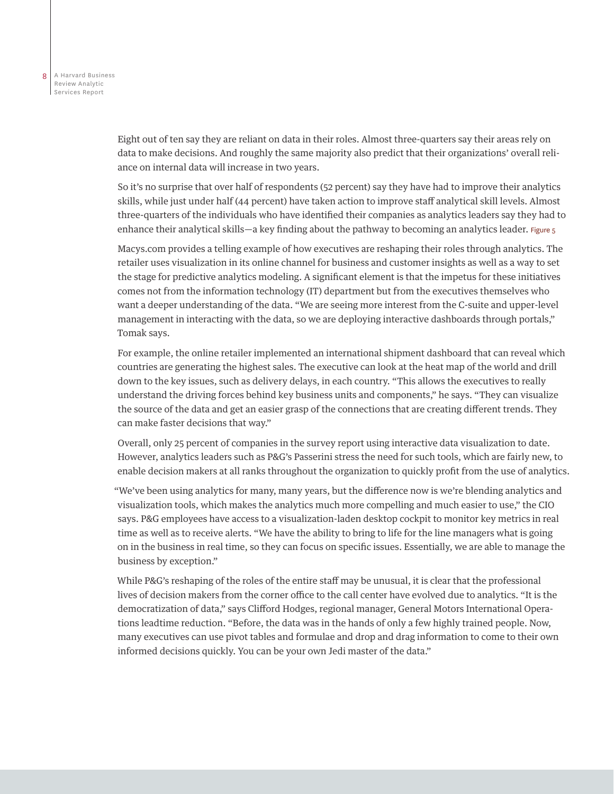Eight out of ten say they are reliant on data in their roles. Almost three-quarters say their areas rely on data to make decisions. And roughly the same majority also predict that their organizations' overall reliance on internal data will increase in two years.

So it's no surprise that over half of respondents (52 percent) say they have had to improve their analytics skills, while just under half (44 percent) have taken action to improve staff analytical skill levels. Almost three-quarters of the individuals who have identified their companies as analytics leaders say they had to enhance their analytical skills—a key finding about the pathway to becoming an analytics leader. Figure 5

Macys.com provides a telling example of how executives are reshaping their roles through analytics. The retailer uses visualization in its online channel for business and customer insights as well as a way to set the stage for predictive analytics modeling. A significant element is that the impetus for these initiatives comes not from the information technology (IT) department but from the executives themselves who want a deeper understanding of the data. "We are seeing more interest from the C-suite and upper-level management in interacting with the data, so we are deploying interactive dashboards through portals," Tomak says.

For example, the online retailer implemented an international shipment dashboard that can reveal which countries are generating the highest sales. The executive can look at the heat map of the world and drill down to the key issues, such as delivery delays, in each country. "This allows the executives to really understand the driving forces behind key business units and components," he says. "They can visualize the source of the data and get an easier grasp of the connections that are creating different trends. They can make faster decisions that way."

Overall, only 25 percent of companies in the survey report using interactive data visualization to date. However, analytics leaders such as P&G's Passerini stress the need for such tools, which are fairly new, to enable decision makers at all ranks throughout the organization to quickly profit from the use of analytics.

"We've been using analytics for many, many years, but the difference now is we're blending analytics and visualization tools, which makes the analytics much more compelling and much easier to use," the CIO says. P&G employees have access to a visualization-laden desktop cockpit to monitor key metrics in real time as well as to receive alerts. "We have the ability to bring to life for the line managers what is going on in the business in real time, so they can focus on specific issues. Essentially, we are able to manage the business by exception."

While P&G's reshaping of the roles of the entire staff may be unusual, it is clear that the professional lives of decision makers from the corner office to the call center have evolved due to analytics. "It is the democratization of data," says Clifford Hodges, regional manager, General Motors International Operations leadtime reduction. "Before, the data was in the hands of only a few highly trained people. Now, many executives can use pivot tables and formulae and drop and drag information to come to their own informed decisions quickly. You can be your own Jedi master of the data."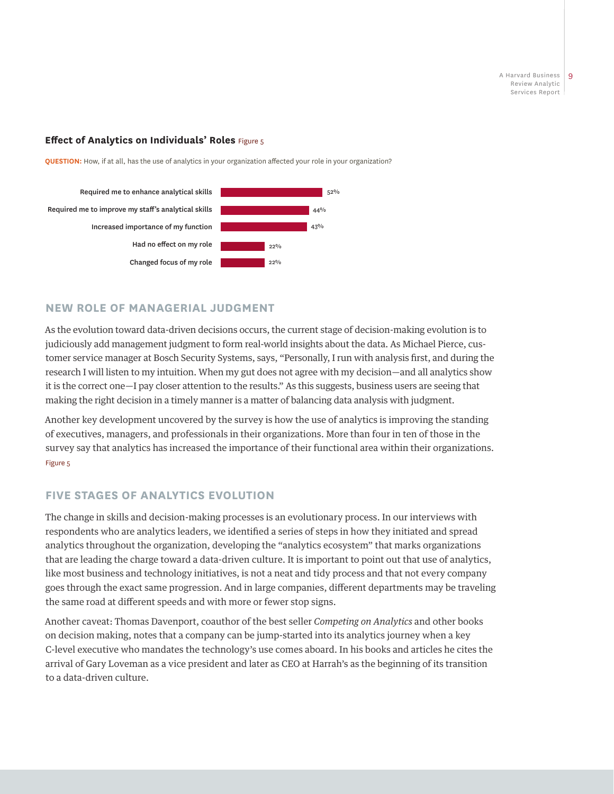# **Effect of Analytics on Individuals' Roles** Figure 5

**QUESTION:** How, if at all, has the use of analytics in your organization affected your role in your organization?



# **NEW ROLE OF MANAGERIAL JUDGMENT**

As the evolution toward data-driven decisions occurs, the current stage of decision-making evolution is to judiciously add management judgment to form real-world insights about the data. As Michael Pierce, customer service manager at Bosch Security Systems, says, "Personally, I run with analysis first, and during the research I will listen to my intuition. When my gut does not agree with my decision—and all analytics show it is the correct one—I pay closer attention to the results." As this suggests, business users are seeing that making the right decision in a timely manner is a matter of balancing data analysis with judgment.

Another key development uncovered by the survey is how the use of analytics is improving the standing of executives, managers, and professionals in their organizations. More than four in ten of those in the survey say that analytics has increased the importance of their functional area within their organizations. Figure 5

# **FIVE STAGES OF ANALYTICS EVOLUTION**

The change in skills and decision-making processes is an evolutionary process. In our interviews with respondents who are analytics leaders, we identified a series of steps in how they initiated and spread analytics throughout the organization, developing the "analytics ecosystem" that marks organizations that are leading the charge toward a data-driven culture. It is important to point out that use of analytics, like most business and technology initiatives, is not a neat and tidy process and that not every company goes through the exact same progression. And in large companies, different departments may be traveling the same road at different speeds and with more or fewer stop signs.

Another caveat: Thomas Davenport, coauthor of the best seller *Competing on Analytics* and other books on decision making, notes that a company can be jump-started into its analytics journey when a key C-level executive who mandates the technology's use comes aboard. In his books and articles he cites the arrival of Gary Loveman as a vice president and later as CEO at Harrah's as the beginning of its transition to a data-driven culture.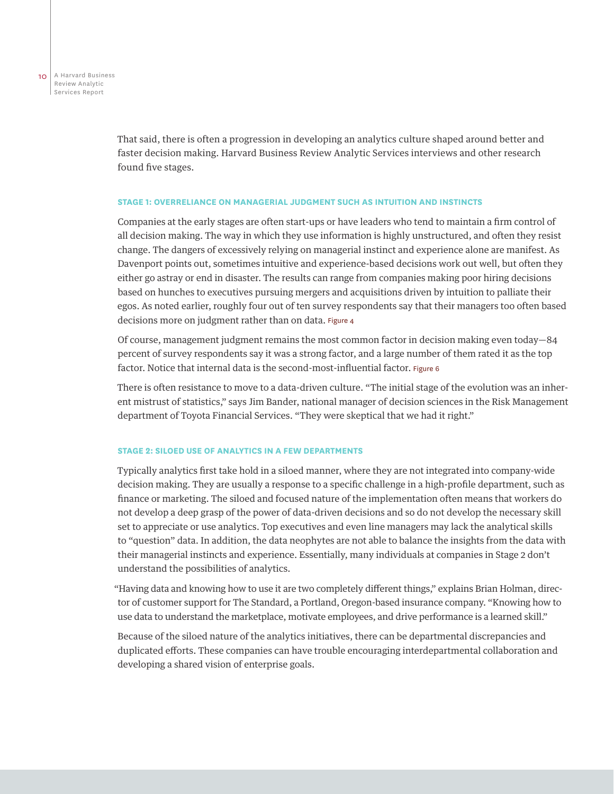That said, there is often a progression in developing an analytics culture shaped around better and faster decision making. Harvard Business Review Analytic Services interviews and other research found five stages.

#### **STAGE 1: OVERRELIANCE ON MANAGERIAL JUDGMENT SUCH AS INTUITION AND INSTINCTS**

Companies at the early stages are often start-ups or have leaders who tend to maintain a firm control of all decision making. The way in which they use information is highly unstructured, and often they resist change. The dangers of excessively relying on managerial instinct and experience alone are manifest. As Davenport points out, sometimes intuitive and experience-based decisions work out well, but often they either go astray or end in disaster. The results can range from companies making poor hiring decisions based on hunches to executives pursuing mergers and acquisitions driven by intuition to palliate their egos. As noted earlier, roughly four out of ten survey respondents say that their managers too often based decisions more on judgment rather than on data. Figure 4

Of course, management judgment remains the most common factor in decision making even today—84 percent of survey respondents say it was a strong factor, and a large number of them rated it as the top factor. Notice that internal data is the second-most-influential factor. Figure 6

There is often resistance to move to a data-driven culture. "The initial stage of the evolution was an inherent mistrust of statistics," says Jim Bander, national manager of decision sciences in the Risk Management department of Toyota Financial Services. "They were skeptical that we had it right."

#### **STAGE 2: SILOED USE OF ANALYTICS IN A FEW DEPARTMENTS**

Typically analytics first take hold in a siloed manner, where they are not integrated into company-wide decision making. They are usually a response to a specific challenge in a high-profile department, such as finance or marketing. The siloed and focused nature of the implementation often means that workers do not develop a deep grasp of the power of data-driven decisions and so do not develop the necessary skill set to appreciate or use analytics. Top executives and even line managers may lack the analytical skills to "question" data. In addition, the data neophytes are not able to balance the insights from the data with their managerial instincts and experience. Essentially, many individuals at companies in Stage 2 don't understand the possibilities of analytics.

"Having data and knowing how to use it are two completely different things," explains Brian Holman, director of customer support for The Standard, a Portland, Oregon-based insurance company. "Knowing how to use data to understand the marketplace, motivate employees, and drive performance is a learned skill."

Because of the siloed nature of the analytics initiatives, there can be departmental discrepancies and duplicated efforts. These companies can have trouble encouraging interdepartmental collaboration and developing a shared vision of enterprise goals.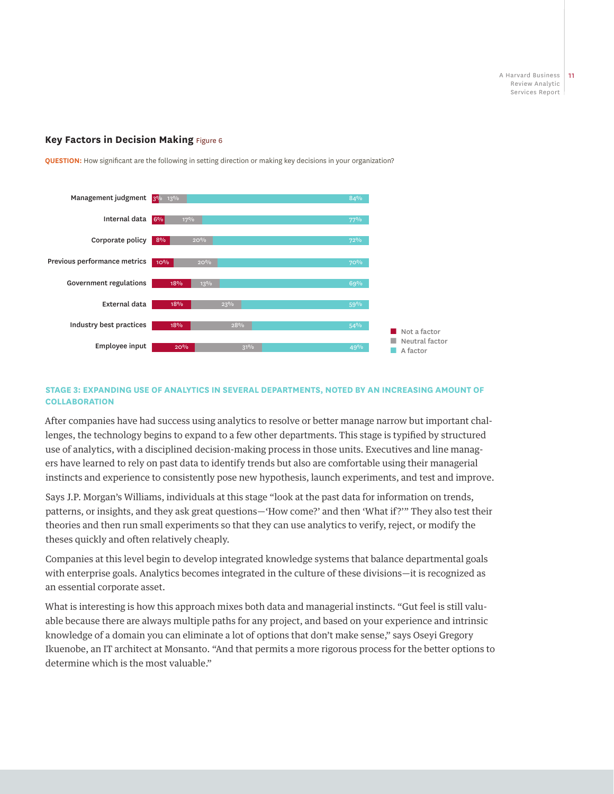#### **Key Factors in Decision Making** Figure 6



**QUESTION:** How significant are the following in setting direction or making key decisions in your organization?

#### **STAGE 3: EXPANDING USE OF ANALYTICS IN SEVERAL DEPARTMENTS, NOTED BY AN INCREASING AMOUNT OF COLLABORATION**

After companies have had success using analytics to resolve or better manage narrow but important challenges, the technology begins to expand to a few other departments. This stage is typified by structured use of analytics, with a disciplined decision-making process in those units. Executives and line managers have learned to rely on past data to identify trends but also are comfortable using their managerial instincts and experience to consistently pose new hypothesis, launch experiments, and test and improve.

Says J.P. Morgan's Williams, individuals at this stage "look at the past data for information on trends, patterns, or insights, and they ask great questions—'How come?' and then 'What if?'" They also test their theories and then run small experiments so that they can use analytics to verify, reject, or modify the theses quickly and often relatively cheaply.

Companies at this level begin to develop integrated knowledge systems that balance departmental goals with enterprise goals. Analytics becomes integrated in the culture of these divisions—it is recognized as an essential corporate asset.

What is interesting is how this approach mixes both data and managerial instincts. "Gut feel is still valuable because there are always multiple paths for any project, and based on your experience and intrinsic knowledge of a domain you can eliminate a lot of options that don't make sense," says Oseyi Gregory Ikuenobe, an IT architect at Monsanto. "And that permits a more rigorous process for the better options to determine which is the most valuable."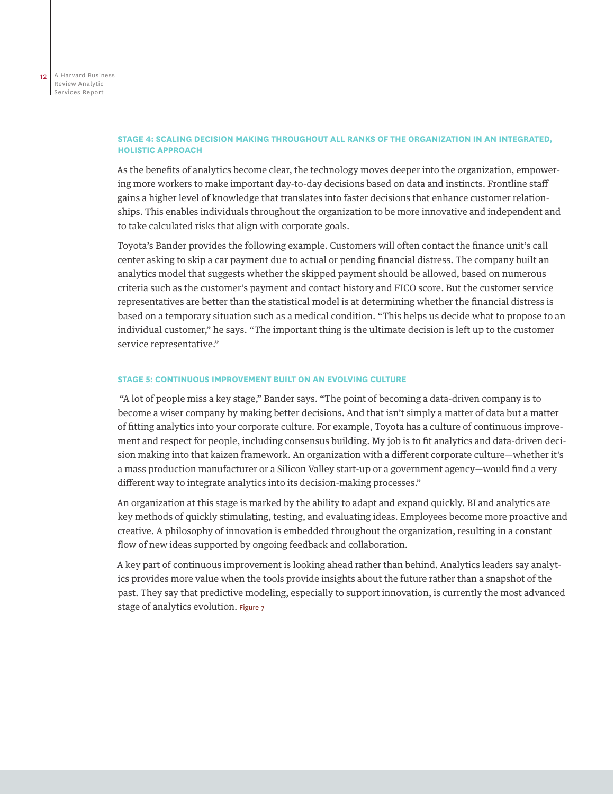## **STAGE 4: SCALING DECISION MAKING THROUGHOUT ALL RANKS OF THE ORGANIZATION IN AN INTEGRATED, HOLISTIC APPROACH**

As the benefits of analytics become clear, the technology moves deeper into the organization, empowering more workers to make important day-to-day decisions based on data and instincts. Frontline staff gains a higher level of knowledge that translates into faster decisions that enhance customer relationships. This enables individuals throughout the organization to be more innovative and independent and to take calculated risks that align with corporate goals.

Toyota's Bander provides the following example. Customers will often contact the finance unit's call center asking to skip a car payment due to actual or pending financial distress. The company built an analytics model that suggests whether the skipped payment should be allowed, based on numerous criteria such as the customer's payment and contact history and FICO score. But the customer service representatives are better than the statistical model is at determining whether the financial distress is based on a temporary situation such as a medical condition. "This helps us decide what to propose to an individual customer," he says. "The important thing is the ultimate decision is left up to the customer service representative."

#### **STAGE 5: CONTINUOUS IMPROVEMENT BUILT ON AN EVOLVING CULTURE**

 "A lot of people miss a key stage," Bander says. "The point of becoming a data-driven company is to become a wiser company by making better decisions. And that isn't simply a matter of data but a matter of fitting analytics into your corporate culture. For example, Toyota has a culture of continuous improvement and respect for people, including consensus building. My job is to fit analytics and data-driven decision making into that kaizen framework. An organization with a different corporate culture—whether it's a mass production manufacturer or a Silicon Valley start-up or a government agency—would find a very different way to integrate analytics into its decision-making processes."

An organization at this stage is marked by the ability to adapt and expand quickly. BI and analytics are key methods of quickly stimulating, testing, and evaluating ideas. Employees become more proactive and creative. A philosophy of innovation is embedded throughout the organization, resulting in a constant flow of new ideas supported by ongoing feedback and collaboration.

A key part of continuous improvement is looking ahead rather than behind. Analytics leaders say analytics provides more value when the tools provide insights about the future rather than a snapshot of the past. They say that predictive modeling, especially to support innovation, is currently the most advanced stage of analytics evolution. Figure 7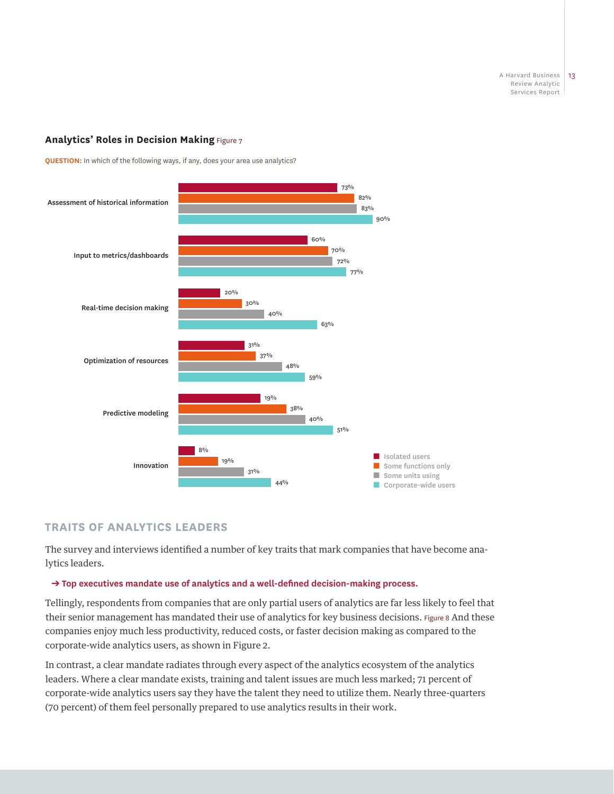# **Analytics' Roles in Decision Making Figure 7**

**QUESTION:** In which of the following ways, if any, does your area use analytics?



# **TRAITS OF ANALYTICS LEADERS**

The survey and interviews identified a number of key traits that mark companies that have become analytics leaders.

#### ➔ **Top executives mandate use of analytics and a well-defined decision-making process.**

Tellingly, respondents from companies that are only partial users of analytics are far less likely to feel that their senior management has mandated their use of analytics for key business decisions. Figure 8 And these companies enjoy much less productivity, reduced costs, or faster decision making as compared to the corporate-wide analytics users, as shown in Figure 2.

In contrast, a clear mandate radiates through every aspect of the analytics ecosystem of the analytics leaders. Where a clear mandate exists, training and talent issues are much less marked; 71 percent of corporate-wide analytics users say they have the talent they need to utilize them. Nearly three-quarters (70 percent) of them feel personally prepared to use analytics results in their work.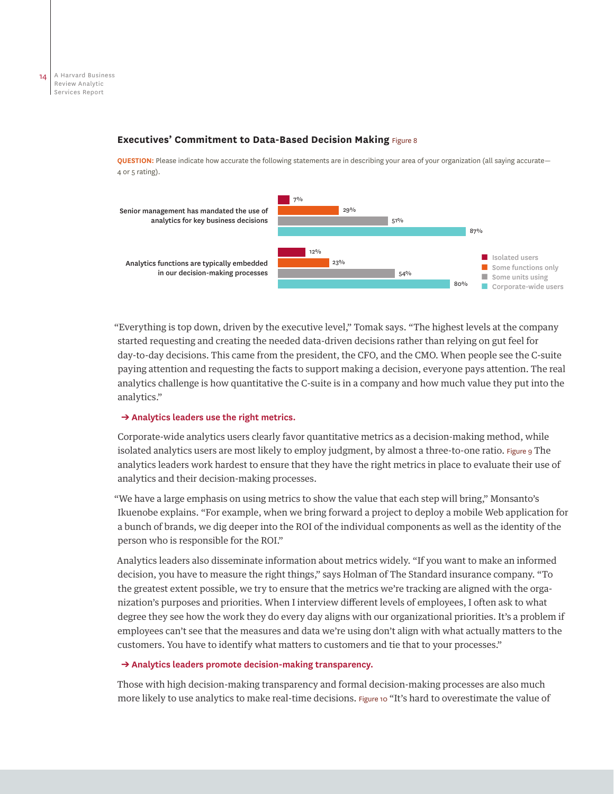#### **Executives' Commitment to Data-Based Decision Making** Figure 8

**QUESTION:** Please indicate how accurate the following statements are in describing your area of your organization (all saying accurate— 4 or 5 rating).



"Everything is top down, driven by the executive level," Tomak says. "The highest levels at the company started requesting and creating the needed data-driven decisions rather than relying on gut feel for day-to-day decisions. This came from the president, the CFO, and the CMO. When people see the C-suite paying attention and requesting the facts to support making a decision, everyone pays attention. The real analytics challenge is how quantitative the C-suite is in a company and how much value they put into the analytics."

#### ➔ **Analytics leaders use the right metrics.**

Corporate-wide analytics users clearly favor quantitative metrics as a decision-making method, while isolated analytics users are most likely to employ judgment, by almost a three-to-one ratio. Figure 9 The analytics leaders work hardest to ensure that they have the right metrics in place to evaluate their use of analytics and their decision-making processes.

"We have a large emphasis on using metrics to show the value that each step will bring," Monsanto's Ikuenobe explains. "For example, when we bring forward a project to deploy a mobile Web application for a bunch of brands, we dig deeper into the ROI of the individual components as well as the identity of the person who is responsible for the ROI."

Analytics leaders also disseminate information about metrics widely. "If you want to make an informed decision, you have to measure the right things," says Holman of The Standard insurance company. "To the greatest extent possible, we try to ensure that the metrics we're tracking are aligned with the organization's purposes and priorities. When I interview different levels of employees, I often ask to what degree they see how the work they do every day aligns with our organizational priorities. It's a problem if employees can't see that the measures and data we're using don't align with what actually matters to the customers. You have to identify what matters to customers and tie that to your processes."

#### ➔ **Analytics leaders promote decision-making transparency.**

Those with high decision-making transparency and formal decision-making processes are also much more likely to use analytics to make real-time decisions. Figure 10 "It's hard to overestimate the value of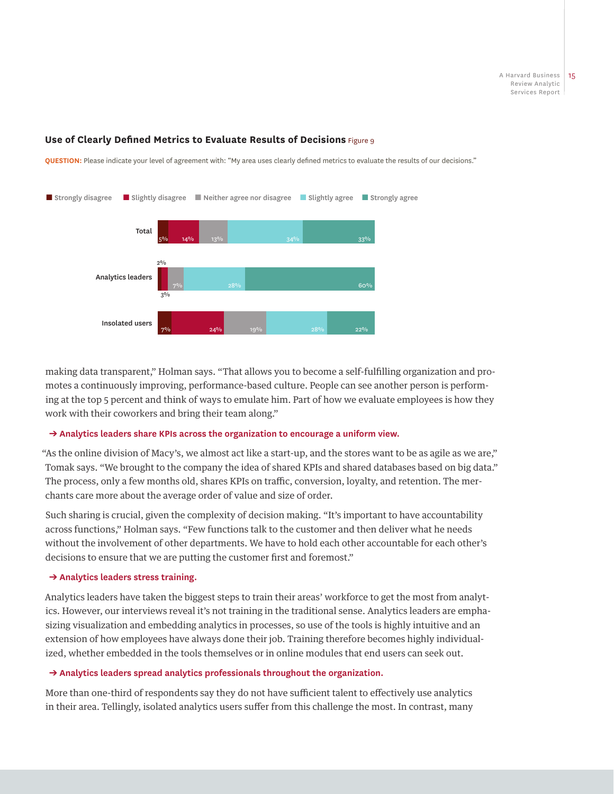# **Use of Clearly Defined Metrics to Evaluate Results of Decisions** Figure 9

**QUESTION:** Please indicate your level of agreement with: "My area uses clearly defined metrics to evaluate the results of our decisions."



making data transparent," Holman says. "That allows you to become a self-fulfilling organization and promotes a continuously improving, performance-based culture. People can see another person is performing at the top 5 percent and think of ways to emulate him. Part of how we evaluate employees is how they work with their coworkers and bring their team along."

#### ➔ **Analytics leaders share KPIs across the organization to encourage a uniform view.**

"As the online division of Macy's, we almost act like a start-up, and the stores want to be as agile as we are," Tomak says. "We brought to the company the idea of shared KPIs and shared databases based on big data." The process, only a few months old, shares KPIs on traffic, conversion, loyalty, and retention. The merchants care more about the average order of value and size of order.

Such sharing is crucial, given the complexity of decision making. "It's important to have accountability across functions," Holman says. "Few functions talk to the customer and then deliver what he needs without the involvement of other departments. We have to hold each other accountable for each other's decisions to ensure that we are putting the customer first and foremost."

#### ➔ **Analytics leaders stress training.**

Analytics leaders have taken the biggest steps to train their areas' workforce to get the most from analytics. However, our interviews reveal it's not training in the traditional sense. Analytics leaders are emphasizing visualization and embedding analytics in processes, so use of the tools is highly intuitive and an extension of how employees have always done their job. Training therefore becomes highly individualized, whether embedded in the tools themselves or in online modules that end users can seek out.

## ➔ **Analytics leaders spread analytics professionals throughout the organization.**

More than one-third of respondents say they do not have sufficient talent to effectively use analytics in their area. Tellingly, isolated analytics users suffer from this challenge the most. In contrast, many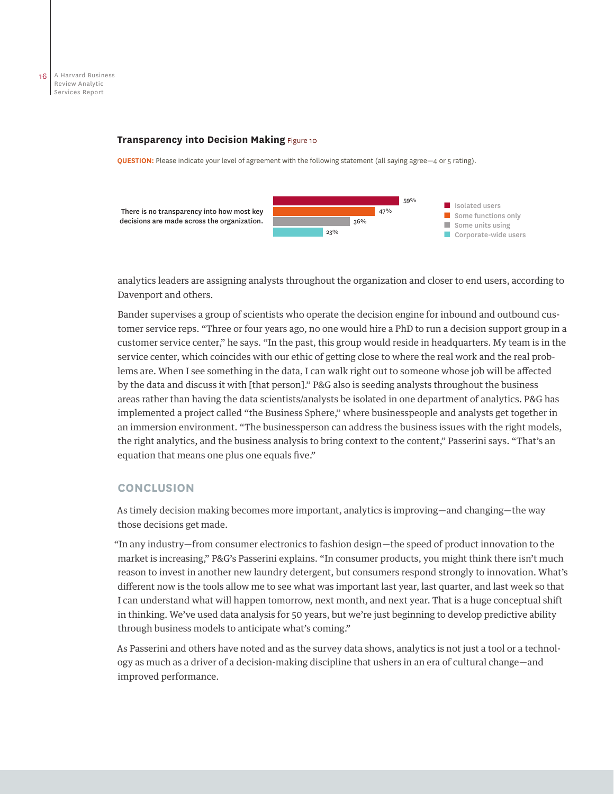#### **Transparency into Decision Making Figure 10**

**QUESTION:** Please indicate your level of agreement with the following statement (all saying agree—4 or 5 rating).



analytics leaders are assigning analysts throughout the organization and closer to end users, according to Davenport and others.

Bander supervises a group of scientists who operate the decision engine for inbound and outbound customer service reps. "Three or four years ago, no one would hire a PhD to run a decision support group in a customer service center," he says. "In the past, this group would reside in headquarters. My team is in the service center, which coincides with our ethic of getting close to where the real work and the real problems are. When I see something in the data, I can walk right out to someone whose job will be affected by the data and discuss it with [that person]." P&G also is seeding analysts throughout the business areas rather than having the data scientists/analysts be isolated in one department of analytics. P&G has implemented a project called "the Business Sphere," where businesspeople and analysts get together in an immersion environment. "The businessperson can address the business issues with the right models, the right analytics, and the business analysis to bring context to the content," Passerini says. "That's an equation that means one plus one equals five."

# **CONCLUSION**

As timely decision making becomes more important, analytics is improving—and changing—the way those decisions get made.

"In any industry—from consumer electronics to fashion design—the speed of product innovation to the market is increasing," P&G's Passerini explains. "In consumer products, you might think there isn't much reason to invest in another new laundry detergent, but consumers respond strongly to innovation. What's different now is the tools allow me to see what was important last year, last quarter, and last week so that I can understand what will happen tomorrow, next month, and next year. That is a huge conceptual shift in thinking. We've used data analysis for 50 years, but we're just beginning to develop predictive ability through business models to anticipate what's coming."

As Passerini and others have noted and as the survey data shows, analytics is not just a tool or a technology as much as a driver of a decision-making discipline that ushers in an era of cultural change—and improved performance.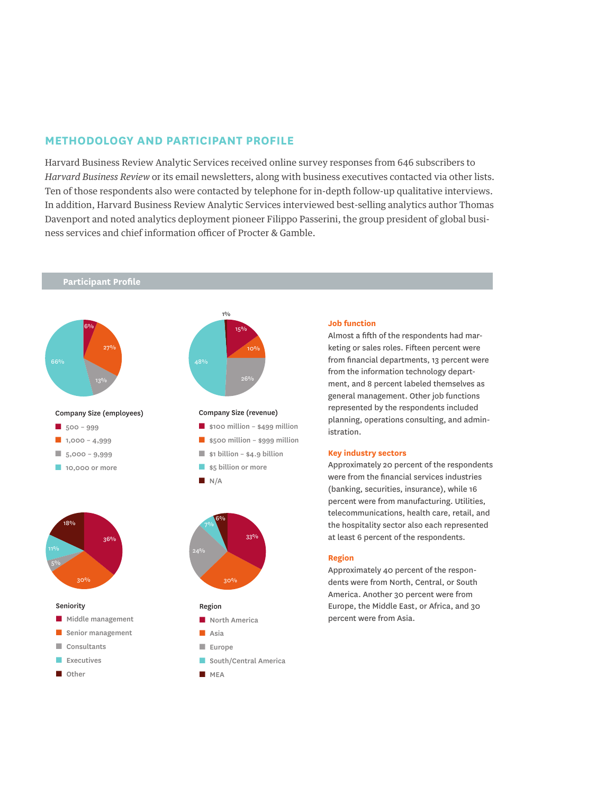# **METHODOLOGY AND PARTICIPANT PROFILE**

Harvard Business Review Analytic Services received online survey responses from 646 subscribers to *Harvard Business Review* or its email newsletters, along with business executives contacted via other lists. Ten of those respondents also were contacted by telephone for in-depth follow-up qualitative interviews. In addition, Harvard Business Review Analytic Services interviewed best-selling analytics author Thomas Davenport and noted analytics deployment pioneer Filippo Passerini, the group president of global business services and chief information officer of Procter & Gamble.

## **Participant Profile**



Company Size (employees)



- **1,000 4,999**
- 5,000 9,999
- 10,000 or more





- Middle management
- Senior management
- Consultants
- Executives
- Other



#### Company Size (revenue)

- \$100 million \$499 million
- \$500 million \$999 million ■ \$1 billion – \$4.9 billion
- 
- \$5 billion or more
- $N/A$





- Asia
- Europe
- South/Central America
- MEA

#### **Job function**

Almost a fifth of the respondents had marketing or sales roles. Fifteen percent were from financial departments, 13 percent were from the information technology department, and 8 percent labeled themselves as general management. Other job functions represented by the respondents included planning, operations consulting, and administration.

#### **Key industry sectors**

Approximately 20 percent of the respondents were from the financial services industries (banking, securities, insurance), while 16 percent were from manufacturing. Utilities, telecommunications, health care, retail, and the hospitality sector also each represented at least 6 percent of the respondents.

#### **Region**

Approximately 40 percent of the respondents were from North, Central, or South America. Another 30 percent were from Europe, the Middle East, or Africa, and 30 percent were from Asia.